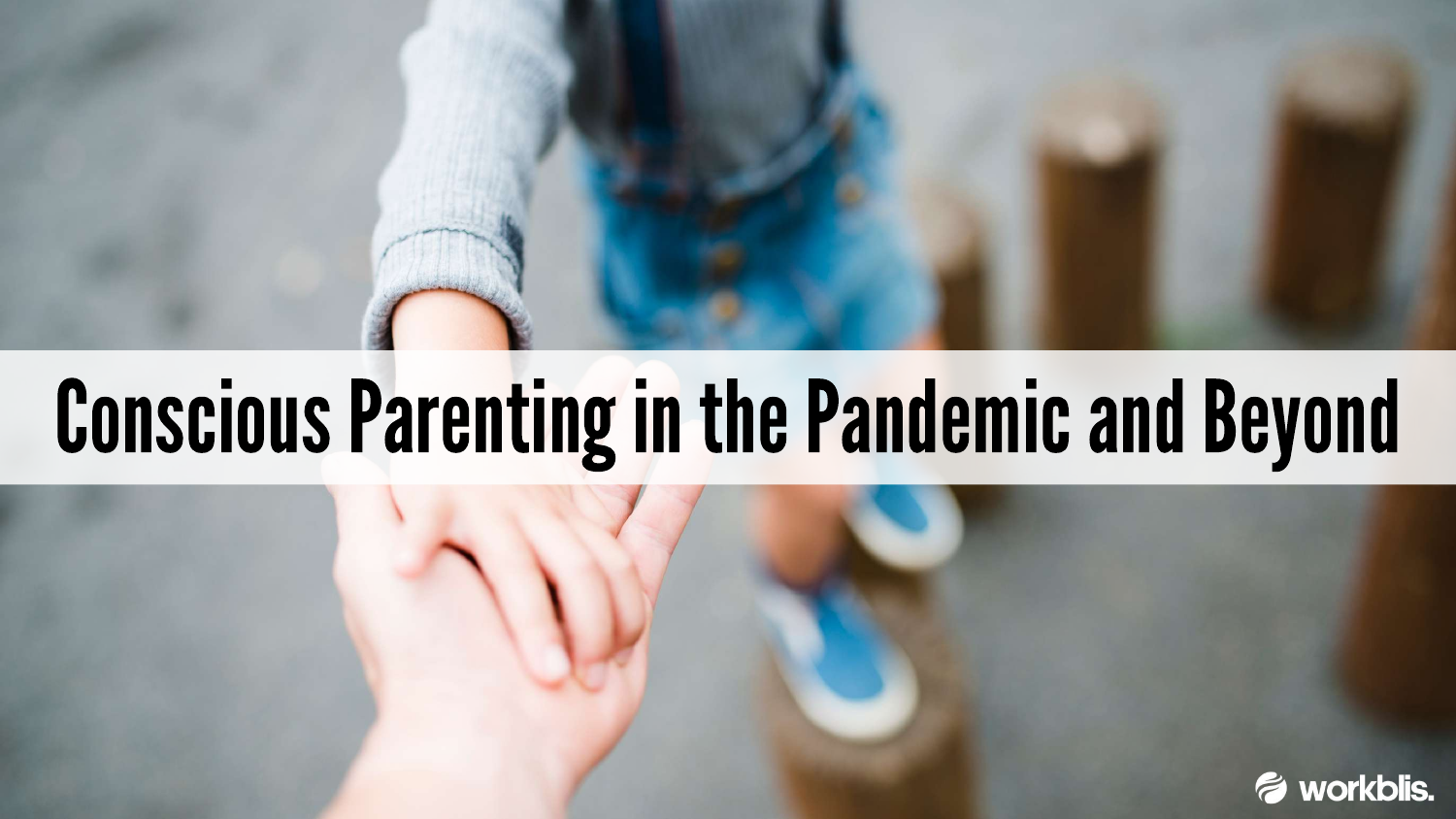## **Conscious Parenting in the Pandemic and Beyond**



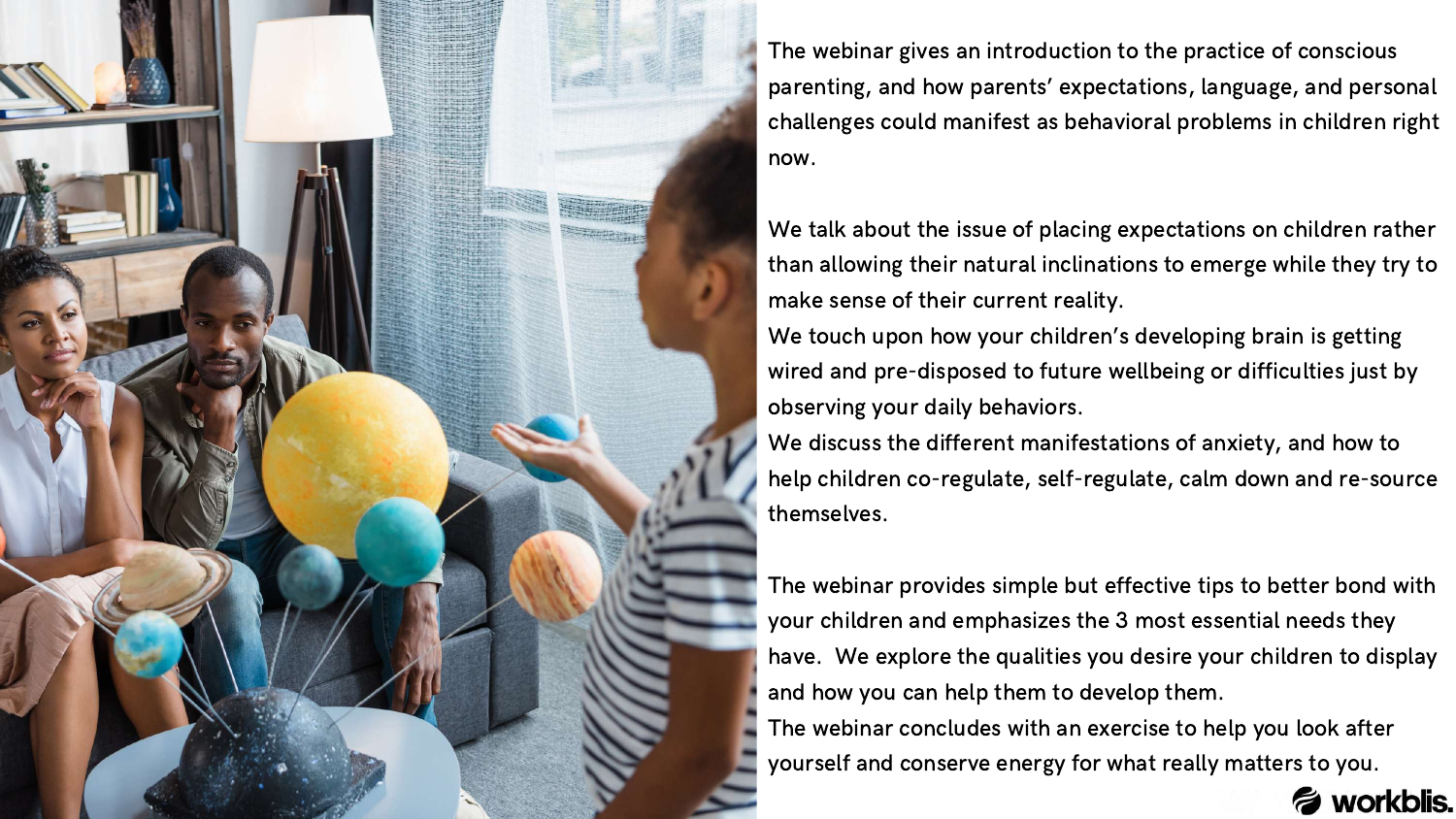

The webinar gives an introduction to the practice of conscious parenting, and how parents' expectations, language, and personal challenges could manifest as behavioral problems in children right now.

We talk about the issue of placing expectations on children rather than allowing their natural inclinations to emerge while they try to make sense of their current reality.

We touch upon how your children's developing brain is getting wired and pre-disposed to future wellbeing or difficulties just by observing your daily behaviors.

We discuss the different manifestations of anxiety, and how to help children co-regulate, self-regulate, calm down and re-source



themselves.

The webinar provides simple but effective tips to better bond with your children and emphasizes the 3 most essential needs they have. We explore the qualities you desire your children to display and how you can help them to develop them. The webinar concludes with an exercise to help you look after yourself and conserve energy for what really matters to you.